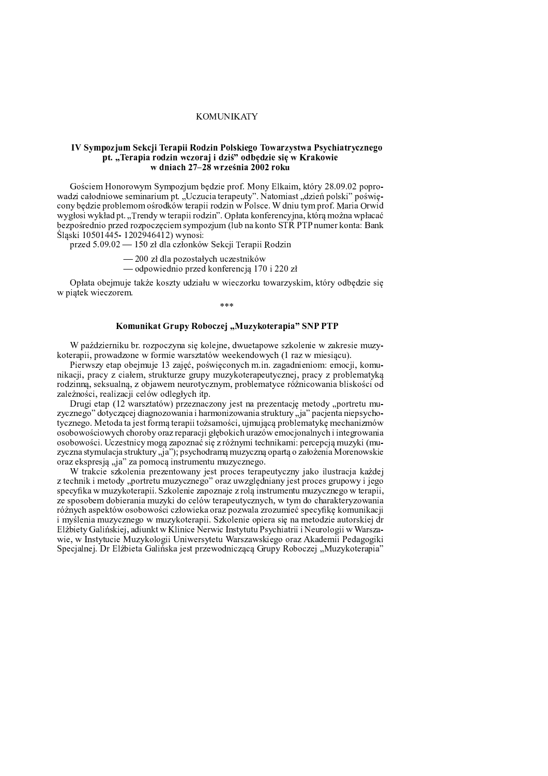# **KOMUNIKATY**

## IV Sympozjum Sekcji Terapii Rodzin Polskiego Towarzystwa Psychiatrycznego pt. "Terapia rodzin wczoraj i dziś" odbędzie się w Krakowie w dniach 27-28 września 2002 roku

Gościem Honorowym Sympozjum będzie prof. Mony Elkaim, który 28.09.02 poprowadzi całodniowe seminarium pt. "Uczucia terapeuty". Natomiast "dzień polski" poświęcony będzie problemom ośrodków terapii rodzin w Polsce. W dniu tym prof. Maria Orwid wygłosi wykład pt. "Trendy w terapii rodzin". Opłata konferencyjna, którą można wpłacać bezpośrednio przed rozpoczęciem sympozjum (lub na konto STR PTP numer konta: Bank Śląski 10501445-1202946412) wynosi:

przed 5.09.02 — 150 zł dla członków Sekcji Terapii Rodzin

- 200 zł dla pozostałych uczestników

— odpowiednio przed konferencją 170 i 220 zł

Opłata obejmuje także koszty udziału w wieczorku towarzyskim, który odbędzie się w piątek wieczorem.

## Komunikat Grupy Roboczej "Muzykoterapia" SNP PTP

W październiku br. rozpoczyna się kolejne, dwuetapowe szkolenie w zakresie muzykoterapii, prowadzone w formie warsztatów weekendowych (1 raz w miesiącu).

Pierwszy etap obejmuje 13 zajęć, poświęconych m.in. zagadnieniom: emocji, komunikacji, pracy z ciałem, strukturze grupy muzykoterapeutycznej, pracy z problematyką rodzinną, seksualną, z objawem neurotycznym, problematyce różnicowania bliskości od zależności, realizacji celów odległych itp.

Drugi etap (12 warsztatów) przeznaczony jest na prezentację metody "portretu muzycznego" dotyczącej diagnozowania i harmonizowania struktury "ja" pacjenta niepsychotycznego. Metoda ta jest formą terapii tożsamości, ujmującą problematykę mechanizmów osobowościowych choroby oraz reparacji głębokich urazów emocjonalnych i integrowania osobowości. Uczestnicy mogą zapoznać się z różnymi technikami: percepcją muzyki (muzyczna stymulacja struktury "ja"); psychodramą muzyczną opartą o założenia Morenowskie oraz ekspresją "ja" za pomocą instrumentu muzycznego.

W trakcie szkolenia prezentowany jest proces terapeutyczny jako ilustracja każdej z technik i metody "portretu muzycznego" oraz uwzględniany jest proces grupowy i jego specyfika w muzykoterapii. Szkolenie zapoznaje z rolą instrumentu muzycznego w terapii, ze sposobem dobierania muzyki do celów terapeutycznych, w tym do charakteryzowania różnych aspektów osobowości człowieka oraz pozwala zrozumieć specyfikę komunikacji i myślenia muzycznego w muzykoterapii. Szkolenie opiera się na metodzie autorskiej dr Elżbiety Galińskiej, adiunkt w Klinice Nerwic Instytutu Psychiatrii i Neurologii w Warszawie, w Instytucie Muzykologii Uniwersytetu Warszawskiego oraz Akademii Pedagogiki Specjalnej. Dr Elżbieta Galińska jest przewodniczącą Grupy Roboczej "Muzykoterapia"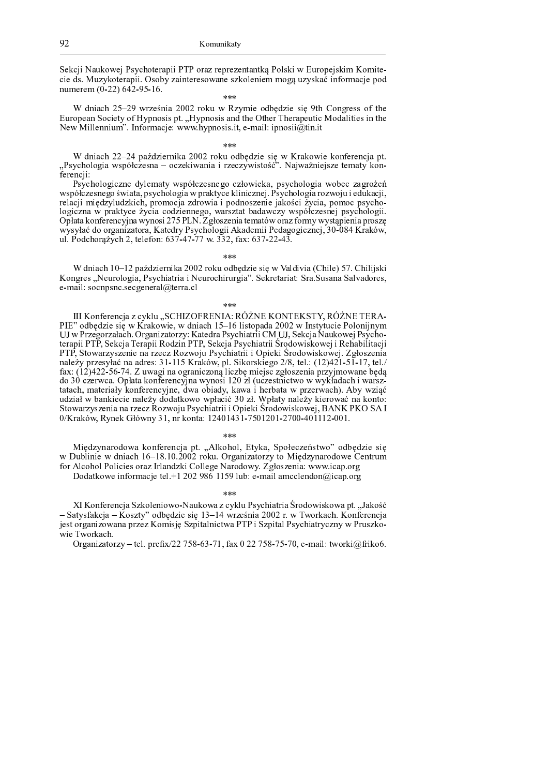Sekcji Naukowej Psychoterapii PTP oraz reprezentantka Polski w Europejskim Komitecie ds. Muzykoterapii. Osoby zainteresowane szkoleniem mogą uzyskać informacje pod numerem (0-22) 642-95-16.

i<br>Ar de de

W dniach 25-29 września 2002 roku w Rzymie odbędzie się 9th Congress of the European Society of Hypnosis pt. "Hypnosis and the Other Therapeutic Modalities in the New Millennium". Informacje: www.hypnosis.it, e-mail: ipnosii@tin.it

W dniach 22-24 października 2002 roku odbędzie się w Krakowie konferencja pt.<br>"Psychologia współczesna – oczekiwania i rzeczywistość". Najważniejsze tematy konferencji:

Psychologiczne dylematy współczesnego człowieka, psychologia wobec zagrożeń współczesnego świata, psychologia w praktyce klinicznej. Psychologia rozwoju i edukacji, relacji międzyludzkich, promocja zdrowia i podnoszenie jakości życia, pomoc psychologiczna w praktyce życia codziennego, warsztat badawczy współczesnej psychologii.<br>Opłata konferencyjna wynosi 275 PLN. Zgłoszenia tematów oraz formy wystąpienia proszę wysyłać do organizatora, Katedry Psychologii Akademii Pedagogicznej, 30-084 Kraków, ul. Podchorążych 2, telefon: 637-47-77 w. 332, fax: 637-22-43.

 $* * *$ 

W dniach 10–12 października 2002 roku odbędzie się w Valdivia (Chile) 57. Chilijski Kongres "Neurologia, Psychiatria i Neurochirurgia". Sekretariat: Sra. Susana Salvadores, e-mail: socnpsnc.secgeneral@terra.cl

### $***$

III Konferencja z cyklu "SCHIZOFRENIA: RÓŻNE KONTEKSTY, RÓŻNE TERA-PIE" odbędzie się w Krakowie, w dniach 15-16 listopada 2002 w Instytucie Polonijnym UJ w Przegorzałach. Organizatorzy: Katedra Psychiatrii CM UJ, Sekcja Naukowej Psychoterapii PTP, Sekcja Terapii Rodzin PTP, Sekcja Psychiatrii Środowiskowej i Rehabilitacji PTP, Stowarzyszenie na rzecz Rozwoju Psychiatrii i Opieki Środowiskowej. Zgłoszenia należy przesyłać na adres: 31-115 Kraków, pl. Sikorskiego 2/8, tel.: (12)421-51-17, tel./ fax: (12)422-56-74. Z uwagi na ograniczoną liczbę miejsc zgłoszenia przyjmowane będą do 30 czerwca. Opłata konferencyjna wynosi 120 zł (uczestnictwo w wykładach i warsztatach, materiały konferencyjne, dwa obiady, kawa i herbata w przerwach). Aby wziąć udział w bankiecie należy dodatkowo wpłacić 30 zł. Wpłaty należy kierować na konto: Stowarzyszenia na rzecz Rozwoju Psychiatrii i Opieki Środowiskowej, BANK PKO SA I 0/Kraków, Rynek Główny 31, nr konta: 12401431-7501201-2700-401112-001.

### مه مه مه

Międzynarodowa konferencja pt. "Alkohol, Etyka, Społeczeństwo" odbędzie się w Dublinie w dniach 16-18.10.2002 roku. Organizatorzy to Międzynarodowe Centrum for Alcohol Policies oraz Irlandzki College Narodowy. Zgłoszenia: www.icap.org

Dodatkowe informacje tel +1 202 986 1159 lub: e-mail amcclendon@icap.org

 $* * *$ 

XI Konferencja Szkoleniowo-Naukowa z cyklu Psychiatria Środowiskowa pt. "Jakość – Satysfakcja – Koszty" odbędzie się 13–14 września 2002 r. w Tworkach. Konferencja jest organizowana przez Komisję Szpitalnictwa PTP i Szpital Psychiatryczny w Pruszkowie Tworkach.

Organizatorzy – tel. prefix/22 758-63-71, fax 0 22 758-75-70, e-mail: tworki@friko6.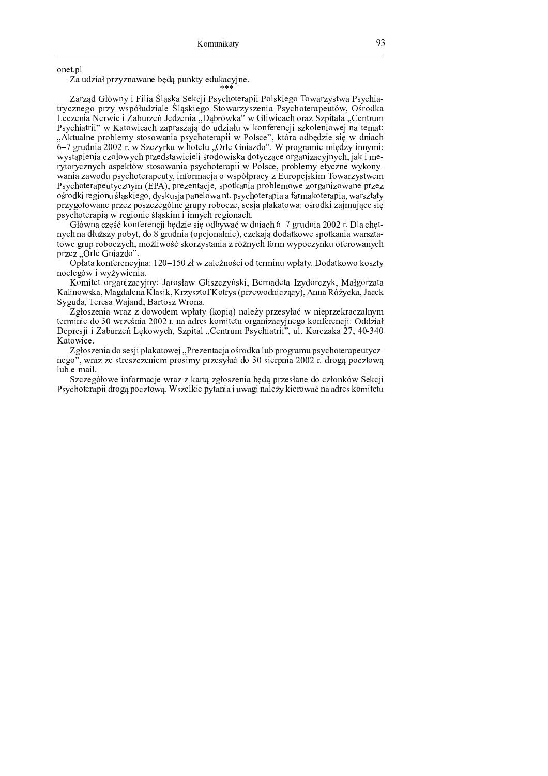onet.pl

Za udział przyznawane będą punkty edukacyjne.

Zarząd Główny i Filia Śląska Sekcji Psychoterapii Polskiego Towarzystwa Psychiatrycznego przy współudziale Śląskiego Stowarzyszenia Psychoterapeutów, Ośrodka Leczenia Nerwic i Zaburzeń Jedzenia "Dąbrówka" w Gliwicach oraz Szpitala "Centrum Psychiatrii" w Katowicach zapraszają do udziału w konferencji szkoleniowej na temat: "Aktualne problemy stosowania psychoterapii w Polsce", która odbędzie się w dniach 6–7 grudnia 2002 r. w Szczyrku w hotelu "Orle Gniazdo". W programie między innymi: wystąpienia czołowych przedstawicieli środowiska dotyczące organizacyjnych, jak i merytorycznych aspektów stosowania psychoterapii w Polsce, problemy etyczne wykonywania zawodu psychoterapeuty, informacja o współpracy z Europejskim Towarzystwem Psychoterapeutycznym (EPA), prezentacje, spotkania problemowe zorganizowane przez ośrodki regionu śląskiego, dyskusja panelowa nt. psychoterapia a farmakoterapia, warsztaty przygotowane przez poszczególne grupy robocze, sesja plakatowa: ośrodki zajmujące się psychoterapią w regionie śląskim i innych regionach.

Główna część konferencji będzie się odbywać w dniach 6–7 grudnia 2002 r. Dla chętnych na dłuższy pobyt, do 8 grudnia (opcjonalnie), czekają dodatkowe spotkania warsztatowe grup roboczych, możliwość skorzystania z różnych form wypoczynku oferowanych przez "Orle Gniazdo".

Opłata konferencyjna: 120-150 zł w zależności od terminu wpłaty. Dodatkowo koszty noclegów i wyżywienia

Komitet organizacyjny: Jarosław Gliszczyński, Bernadeta Izydorczyk, Małgorzata Kalinowska, Magdalena Klasik, Krzysztof Kotrys (przewodniczący), Anna Różycka, Jacek Syguda, Teresa Wajand, Bartosz Wrona.

Zgłoszenia wraz z dowodem wpłaty (kopią) należy przesyłać w nieprzekraczalnym terminie do 30 września 2002 r. na adres komitetu organizacyjnego konferencji: Oddział Depresji i Zaburzeń Lękowych, Szpital "Centrum Psychiatrii", ul. Korczaka 27, 40-340 Katowice.

Zgłoszenia do sesji plakatowej "Prezentacja ośrodka lub programu psychoterapeutycznego", wraz ze streszczeniem prosimy przesyłać do 30 sierpnia 2002 r. drogą pocztową lub e-mail.

Szczegółowe informacje wraz z kartą zgłoszenia będą przesłane do członków Sekcji Psychoterapii drogą pocztową. Wszelkie pytania i uwagi należy kierować na adres komitetu